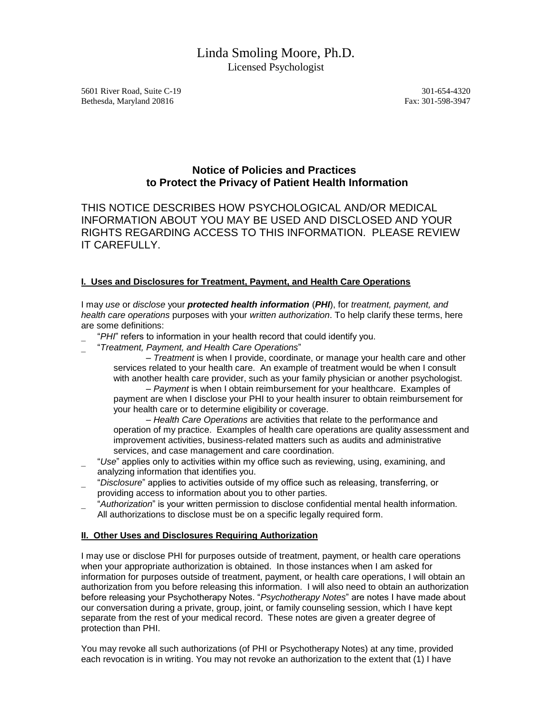# Linda Smoling Moore, Ph.D. Licensed Psychologist

5601 River Road, Suite C-19 301-654-4320 Bethesda, Maryland 20816 Fax: 301-598-3947

## **Notice of Policies and Practices to Protect the Privacy of Patient Health Information**

THIS NOTICE DESCRIBES HOW PSYCHOLOGICAL AND/OR MEDICAL INFORMATION ABOUT YOU MAY BE USED AND DISCLOSED AND YOUR RIGHTS REGARDING ACCESS TO THIS INFORMATION. PLEASE REVIEW IT CAREFULLY.

### **I. Uses and Disclosures for Treatment, Payment, and Health Care Operations**

I may *use* or *disclose* your *protected health information* (*PHI*), for *treatment, payment, and health care operations* purposes with your *written authorization*. To help clarify these terms, here are some definitions:

- "*PHI*" refers to information in your health record that could identify you.
- "*Treatment, Payment, and Health Care Operations*"

– *Treatment* is when I provide, coordinate, or manage your health care and other services related to your health care. An example of treatment would be when I consult with another health care provider, such as your family physician or another psychologist.

– *Payment* is when I obtain reimbursement for your healthcare. Examples of payment are when I disclose your PHI to your health insurer to obtain reimbursement for your health care or to determine eligibility or coverage.

– *Health Care Operations* are activities that relate to the performance and operation of my practice. Examples of health care operations are quality assessment and improvement activities, business-related matters such as audits and administrative services, and case management and care coordination.

- "*Use*" applies only to activities within my office such as reviewing, using, examining, and analyzing information that identifies you.
- "*Disclosure*" applies to activities outside of my office such as releasing, transferring, or providing access to information about you to other parties.
- "*Authorization*" is your written permission to disclose confidential mental health information. All authorizations to disclose must be on a specific legally required form.

#### **II. Other Uses and Disclosures Requiring Authorization**

I may use or disclose PHI for purposes outside of treatment, payment, or health care operations when your appropriate authorization is obtained. In those instances when I am asked for information for purposes outside of treatment, payment, or health care operations, I will obtain an authorization from you before releasing this information. I will also need to obtain an authorization before releasing your Psychotherapy Notes. "*Psychotherapy Notes*" are notes I have made about our conversation during a private, group, joint, or family counseling session, which I have kept separate from the rest of your medical record. These notes are given a greater degree of protection than PHI.

You may revoke all such authorizations (of PHI or Psychotherapy Notes) at any time, provided each revocation is in writing. You may not revoke an authorization to the extent that (1) I have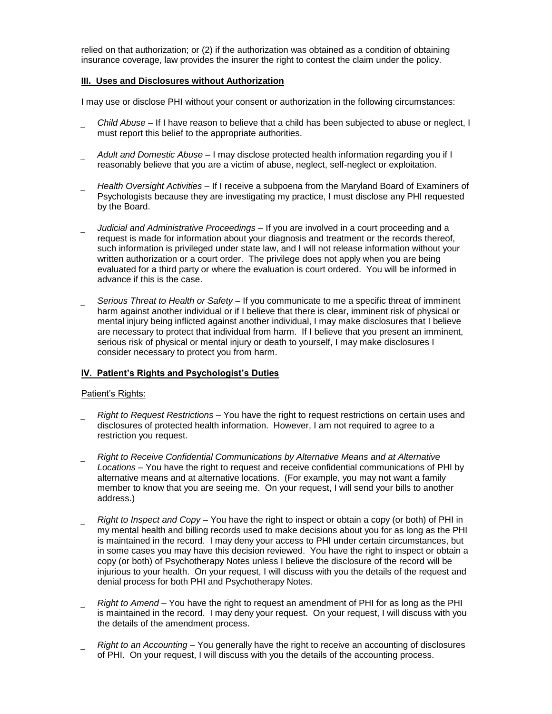relied on that authorization; or (2) if the authorization was obtained as a condition of obtaining insurance coverage, law provides the insurer the right to contest the claim under the policy.

#### **III. Uses and Disclosures without Authorization**

I may use or disclose PHI without your consent or authorization in the following circumstances:

- *Child Abuse* If I have reason to believe that a child has been subjected to abuse or neglect, I must report this belief to the appropriate authorities.
- *Adult and Domestic Abuse* I may disclose protected health information regarding you if I reasonably believe that you are a victim of abuse, neglect, self-neglect or exploitation.
- *Health Oversight Activities* If I receive a subpoena from the Maryland Board of Examiners of Psychologists because they are investigating my practice, I must disclose any PHI requested by the Board.
- *Judicial and Administrative Proceedings* If you are involved in a court proceeding and a request is made for information about your diagnosis and treatment or the records thereof, such information is privileged under state law, and I will not release information without your written authorization or a court order. The privilege does not apply when you are being evaluated for a third party or where the evaluation is court ordered. You will be informed in advance if this is the case.
- *Serious Threat to Health or Safety* If you communicate to me a specific threat of imminent harm against another individual or if I believe that there is clear, imminent risk of physical or mental injury being inflicted against another individual, I may make disclosures that I believe are necessary to protect that individual from harm. If I believe that you present an imminent, serious risk of physical or mental injury or death to yourself, I may make disclosures I consider necessary to protect you from harm.

#### **IV. Patient's Rights and Psychologist's Duties**

#### Patient's Rights:

- *Right to Request Restrictions*  You have the right to request restrictions on certain uses and disclosures of protected health information. However, I am not required to agree to a restriction you request.
- *Right to Receive Confidential Communications by Alternative Means and at Alternative Locations* – You have the right to request and receive confidential communications of PHI by alternative means and at alternative locations. (For example, you may not want a family member to know that you are seeing me. On your request, I will send your bills to another address.)
- *Right to Inspect and Copy*  You have the right to inspect or obtain a copy (or both) of PHI in my mental health and billing records used to make decisions about you for as long as the PHI is maintained in the record. I may deny your access to PHI under certain circumstances, but in some cases you may have this decision reviewed. You have the right to inspect or obtain a copy (or both) of Psychotherapy Notes unless I believe the disclosure of the record will be injurious to your health. On your request, I will discuss with you the details of the request and denial process for both PHI and Psychotherapy Notes.
- *Right to Amend* You have the right to request an amendment of PHI for as long as the PHI is maintained in the record. I may deny your request. On your request, I will discuss with you the details of the amendment process.
- *Right to an Accounting* You generally have the right to receive an accounting of disclosures of PHI. On your request, I will discuss with you the details of the accounting process.